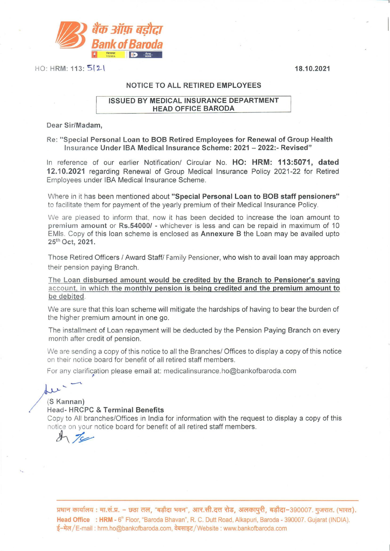1



HO: HRM: 113: 5(2) 18.10.2021

## NOTICE TO ALL RETIRED EMPLOYEES

## ISSUED BY MEDICAL INSURANCE DEPARTMENT HEAD OFFICE BARODA

Dear Sir/Madam,

Re: "Special Personal Loan to BOB Retired Employees for Renewal of Group Health Insurance Under IBA Medical Insurance Scheme: 2021 - 2022:- Revised"

In reference of our earlier Notification/ Circular No. HO: HRM: 113:5071, dated 12.10.2021 regarding Renewal of Group Medical Insurance Policy 2021-22 for Retired Employees under IBA Medical Insurance Scheme.

Where in it has been mentioned about "Special Personal Loan to BOB staff pensioners" to facilitate them for payment of the yearly premium of their Medical Insurance Policy.

We are pleased to inform that, now it has been decided to increase the loan amount to premium amount or Rs.54000/ - whichever is less and can be repaid in maximum of 10 EMls. Copy of this loan scheme is enclosed as Annexure B the Loan may be availed upto 25<sup>th</sup> Oct, 2021.

Those Retired Officers / Award Staff/ Family Pensioner, who wish to avail loan may approach their pension paying Branch.

The Loan disbursed amount would be credited by the Branch to Pensioner's saving account, in which the monthly pension is being credited and the premium amount to be debited.

We are sure that this loan scheme will mitigate the hardships of having to bear the burden of the higher premium amount in one go.

The installment of Loan repayment will be deducted by the Pension Paying Branch on every month after credit of pension.

We are sending a copy of this notice to all the Branches/ Offices to display a copy of this notice on their notice board for benefit of all retired staff members.

For any clarification please email at: medicalinsurance.ho@bankofbaroda.com

## $(S$  Kannan)

## Head-HRCPC & Terminal Benefits

Copy to All branches/Offices in India for information with the request to display a copy of this notice on your notice board for benefit of all retired staff members.<br>  $\overline{\mathcal{F}}$ 



प्रधान कार्यालय : मा.सं.प्र. - छठा तल, "बड़ौदा भवन", आर.सी.दत्त रोड, अलकापुरी, बड़ौदा-390007. गुजरात. (भारत). **Head Office : HRM** - 6"ˈ Floor, "Baroda Bhavan″, R. C. Dutt Road, Alkapuri, Baroda - 390007. Gujarat (INDIA). प्रधान कार्यालय : मा.सं.प्र. – छठा तल, "बड़ौदा भवन", आर.सी.दत्त रोड, अलकापुरी, बड़ौदा-<br><mark>Head Office : HRM</mark> - 6<sup>®</sup> Floor, "Baroda Bhavan", R. C. Dutt Road, Alkapuri, Baroda - 3<br>ई-मेल/E-mail : hrm.ho@bankofbaroda.com, वेब